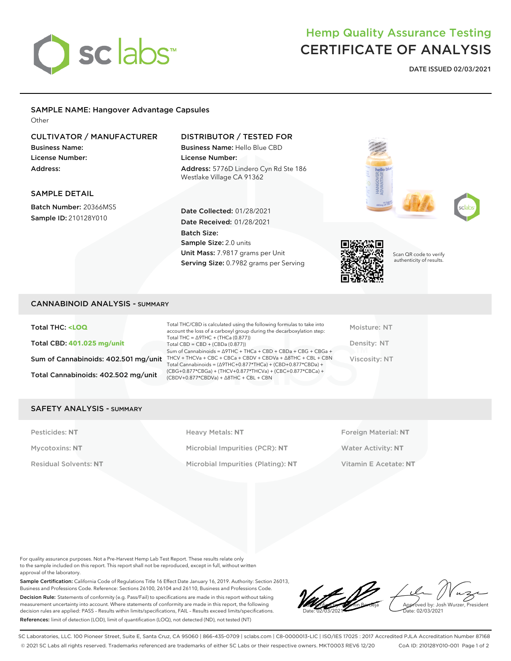# sclabs

## Hemp Quality Assurance Testing CERTIFICATE OF ANALYSIS

**DATE ISSUED 02/03/2021**

## SAMPLE NAME: Hangover Advantage Capsules

**Other** 

## CULTIVATOR / MANUFACTURER

Business Name: License Number: Address:

### DISTRIBUTOR / TESTED FOR

Business Name: Hello Blue CBD License Number: Address: 5776D Lindero Cyn Rd Ste 186 Westlake Village CA 91362

#### SAMPLE DETAIL

Batch Number: 20366MS5 Sample ID: 210128Y010

#### Date Collected: 01/28/2021 Date Received: 01/28/2021 Batch Size: Sample Size: 2.0 units Unit Mass: 7.9817 grams per Unit Serving Size: 0.7982 grams per Serving







Scan QR code to verify authenticity of results.

#### CANNABINOID ANALYSIS - SUMMARY

Total THC: **<LOQ** Total CBD: **401.025 mg/unit** Total Cannabinoids: 402.502 mg/unit

Sum of Cannabinoids: 402.501 mg/unit THCV + THCVa + CBC + CBCa + CBDV + CBDVa +  $\triangle$ 8THC + CBL + CBN Total THC/CBD is calculated using the following formulas to take into account the loss of a carboxyl group during the decarboxylation step: Total THC = ∆9THC + (THCa (0.877)) Total CBD = CBD + (CBDa (0.877)) Sum of Cannabinoids = ∆9THC + THCa + CBD + CBDa + CBG + CBGa + Total Cannabinoids = (∆9THC+0.877\*THCa) + (CBD+0.877\*CBDa) + (CBG+0.877\*CBGa) + (THCV+0.877\*THCVa) + (CBC+0.877\*CBCa) + (CBDV+0.877\*CBDVa) + ∆8THC + CBL + CBN

Moisture: NT Density: NT Viscosity: NT

#### SAFETY ANALYSIS - SUMMARY

Pesticides: NT **All Accords** Heavy Metals: NT **Foreign Material: NT** Pesticides: NT Mycotoxins: **NT** Microbial Impurities (PCR): **NT** Water Activity: **NT** Residual Solvents: **NT** Microbial Impurities (Plating): **NT** Vitamin E Acetate: **NT**

For quality assurance purposes. Not a Pre-Harvest Hemp Lab Test Report. These results relate only to the sample included on this report. This report shall not be reproduced, except in full, without written approval of the laboratory.

Sample Certification: California Code of Regulations Title 16 Effect Date January 16, 2019. Authority: Section 26013, Business and Professions Code. Reference: Sections 26100, 26104 and 26110, Business and Professions Code. Decision Rule: Statements of conformity (e.g. Pass/Fail) to specifications are made in this report without taking measurement uncertainty into account. Where statements of conformity are made in this report, the following decision rules are applied: PASS – Results within limits/specifications, FAIL – Results exceed limits/specifications. References: limit of detection (LOD), limit of quantification (LOQ), not detected (ND), not tested (NT)

LQC verified by: Valentin Berdeja Date: 02/03/2021 Approved by: Josh Wurzer, President ate: 02/03/2021

SC Laboratories, LLC. 100 Pioneer Street, Suite E, Santa Cruz, CA 95060 | 866-435-0709 | sclabs.com | C8-0000013-LIC | ISO/IES 17025 : 2017 Accredited PJLA Accreditation Number 87168 © 2021 SC Labs all rights reserved. Trademarks referenced are trademarks of either SC Labs or their respective owners. MKT0003 REV6 12/20 CoA ID: 210128Y010-001 Page 1 of 2